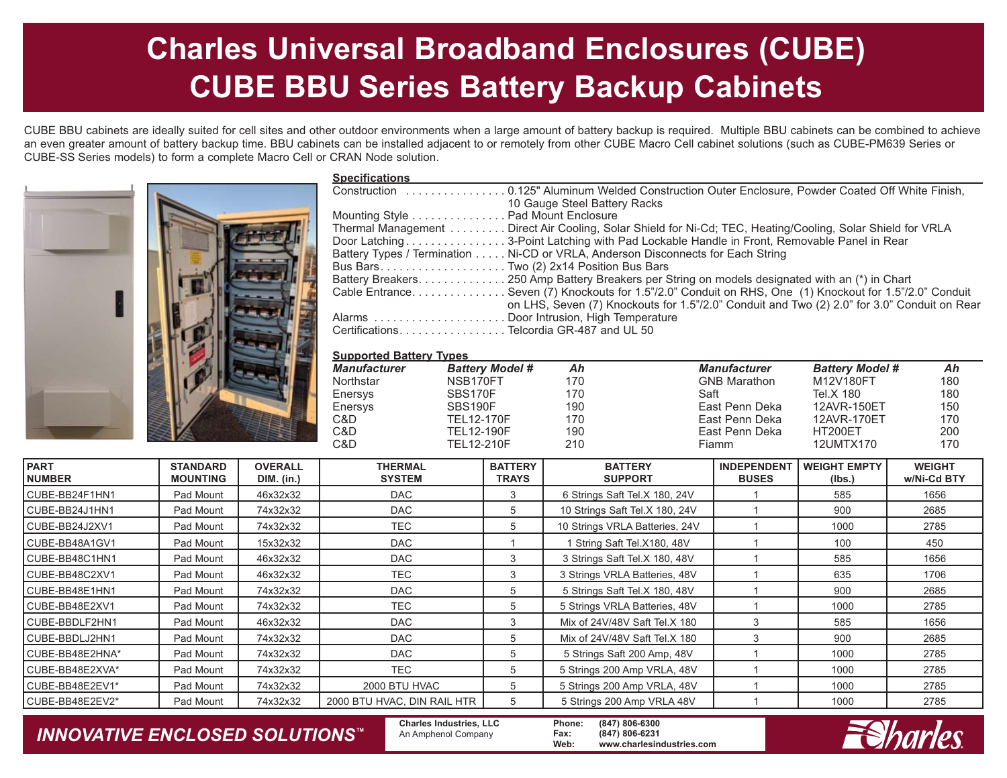# **Charles Universal Broadband Enclosures (CUBE) CUBE BBU Series Battery Backup Cabinets**

CUBE BBU cabinets are ideally suited for cell sites and other outdoor environments when a large amount of battery backup is required. Multiple BBU cabinets can be combined to achieve an even greater amount of battery backup time. BBU cabinets can be installed adjacent to or remotely from other CUBE Macro Cell cabinet solutions (such as CUBE-PM639 Series or CUBE-SS Series models) to form a complete Macro Cell or CRAN Node solution.



| <b>Specifications</b>                                                                                      |
|------------------------------------------------------------------------------------------------------------|
| Construction 0.125" Aluminum Welded Construction Outer Enclosure, Powder Coated Off White Finish,          |
| 10 Gauge Steel Battery Racks                                                                               |
| Mounting Style Pad Mount Enclosure                                                                         |
| Thermal Management Direct Air Cooling, Solar Shield for Ni-Cd; TEC, Heating/Cooling, Solar Shield for VRLA |
| Door Latching3-Point Latching with Pad Lockable Handle in Front, Removable Panel in Rear                   |
| Battery Types / Termination Ni-CD or VRLA, Anderson Disconnects for Each String                            |
|                                                                                                            |
| Battery Breakers250 Amp Battery Breakers per String on models designated with an (*) in Chart              |
| Cable Entrance. Seven (7) Knockouts for 1.5"/2.0" Conduit on RHS, One (1) Knockout for 1.5"/2.0" Conduit   |
| on LHS, Seven (7) Knockouts for 1.5"/2.0" Conduit and Two (2) 2.0" for 3.0" Conduit on Rear                |
|                                                                                                            |
| CertificationsTelcordia GR-487 and UL 50                                                                   |
|                                                                                                            |

#### **Supported Battery Types**

| <b>Manufacturer</b> | <b>Battery Model #</b> | Ah  | <b>Manufacturer</b> | <b>Battery Model #</b> | Ah  |
|---------------------|------------------------|-----|---------------------|------------------------|-----|
| Northstar           | NSB170FT               | 170 | <b>GNB Marathon</b> | M12V180FT              | 180 |
| Enersys             | SBS170F                | 170 | Saft                | Tel.X 180              | 180 |
| Enersys             | SBS190F                | 190 | East Penn Deka      | 12AVR-150ET            | 150 |
| C&D                 | <b>TEL12-170F</b>      | 170 | East Penn Deka      | 12AVR-170ET            | 170 |
| C&D                 | <b>TEL12-190F</b>      | 190 | East Penn Deka      | HT200ET                | 200 |
| C&D                 | <b>TEL12-210F</b>      | 210 | Fiamm               | 12UMTX170              | 170 |

| <b>PART</b><br><b>NUMBER</b> | <b>STANDARD</b><br><b>MOUNTING</b> | <b>OVERALL</b><br><b>DIM.</b> (in.) | <b>THERMAL</b><br><b>SYSTEM</b> | <b>BATTERY</b><br><b>TRAYS</b> | <b>BATTERY</b><br><b>SUPPORT</b> | <b>INDEPENDENT</b><br><b>BUSES</b> | <b>WEIGHT EMPTY</b><br>(lbs.) | <b>WEIGHT</b><br>w/Ni-Cd BTY |
|------------------------------|------------------------------------|-------------------------------------|---------------------------------|--------------------------------|----------------------------------|------------------------------------|-------------------------------|------------------------------|
| CUBE-BB24F1HN1               | Pad Mount                          | 46x32x32                            | <b>DAC</b>                      | 3                              | 6 Strings Saft Tel.X 180, 24V    |                                    | 585                           | 1656                         |
| CUBE-BB24J1HN1               | Pad Mount                          | 74x32x32                            | <b>DAC</b>                      | 5                              | 10 Strings Saft Tel.X 180, 24V   |                                    | 900                           | 2685                         |
| CUBE-BB24J2XV1               | Pad Mount                          | 74x32x32                            | TEC                             | 5                              | 10 Strings VRLA Batteries, 24V   |                                    | 1000                          | 2785                         |
| CUBE-BB48A1GV1               | Pad Mount                          | 15x32x32                            | <b>DAC</b>                      |                                | 1 String Saft Tel.X180, 48V      |                                    | 100                           | 450                          |
| CUBE-BB48C1HN1               | Pad Mount                          | 46x32x32                            | <b>DAC</b>                      | 3                              | 3 Strings Saft Tel.X 180, 48V    |                                    | 585                           | 1656                         |
| CUBE-BB48C2XV1               | Pad Mount                          | 46x32x32                            | TEC                             | 3                              | 3 Strings VRLA Batteries, 48V    |                                    | 635                           | 1706                         |
| CUBE-BB48E1HN1               | Pad Mount                          | 74x32x32                            | <b>DAC</b>                      | 5                              | 5 Strings Saft Tel.X 180, 48V    |                                    | 900                           | 2685                         |
| CUBE-BB48E2XV1               | Pad Mount                          | 74x32x32                            | TEC                             | 5                              | 5 Strings VRLA Batteries, 48V    |                                    | 1000                          | 2785                         |
| CUBE-BBDLF2HN1               | Pad Mount                          | 46x32x32                            | <b>DAC</b>                      | 3                              | Mix of 24V/48V Saft Tel.X 180    | 3                                  | 585                           | 1656                         |
| CUBE-BBDLJ2HN1               | Pad Mount                          | 74x32x32                            | <b>DAC</b>                      | 5                              | Mix of 24V/48V Saft Tel.X 180    |                                    | 900                           | 2685                         |
| CUBE-BB48E2HNA*              | Pad Mount                          | 74x32x32                            | <b>DAC</b>                      | 5                              | 5 Strings Saft 200 Amp, 48V      |                                    | 1000                          | 2785                         |
| CUBE-BB48E2XVA*              | Pad Mount                          | 74x32x32                            | TEC                             | 5                              | 5 Strings 200 Amp VRLA, 48V      |                                    | 1000                          | 2785                         |
| CUBE-BB48E2EV1*              | Pad Mount                          | 74x32x32                            | 2000 BTU HVAC                   | 5                              | 5 Strings 200 Amp VRLA, 48V      |                                    | 1000                          | 2785                         |
| CUBE-BB48E2EV2*              | Pad Mount                          | 74x32x32                            | 2000 BTU HVAC, DIN RAIL HTR     | 5                              | 5 Strings 200 Amp VRLA 48V       |                                    | 1000                          | 2785                         |

### *INNOVATIVE ENCLOSED SOLUTIONS ™*

**Charles Industries, LLC** An Amphenol Company

**Phone: (847) 806-6300 Fax: (847) 806-6231 Web: www.charlesindustries.com**